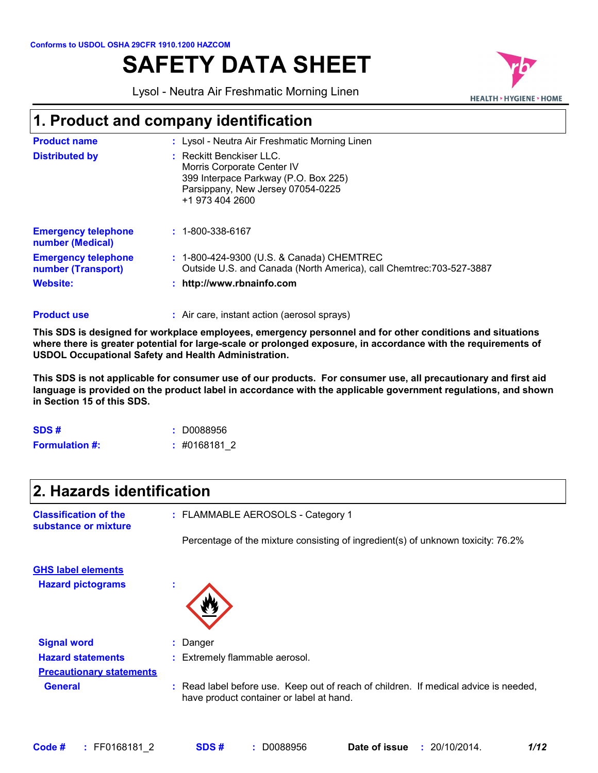# **SAFETY DATA SHEET**

Lysol - Neutra Air Freshmatic Morning Linen



# **1. Product and company identification**

| <b>Product name</b>                              | : Lysol - Neutra Air Freshmatic Morning Linen                                                                                                          |
|--------------------------------------------------|--------------------------------------------------------------------------------------------------------------------------------------------------------|
| <b>Distributed by</b>                            | : Reckitt Benckiser LLC.<br>Morris Corporate Center IV<br>399 Interpace Parkway (P.O. Box 225)<br>Parsippany, New Jersey 07054-0225<br>+1 973 404 2600 |
| <b>Emergency telephone</b><br>number (Medical)   | $: 1 - 800 - 338 - 6167$                                                                                                                               |
| <b>Emergency telephone</b><br>number (Transport) | : 1-800-424-9300 (U.S. & Canada) CHEMTREC<br>Outside U.S. and Canada (North America), call Chemtrec: 703-527-3887                                      |
| <b>Website:</b>                                  | http://www.rbnainfo.com                                                                                                                                |

#### Air care, instant action (aerosol sprays) **: Product use**

**This SDS is designed for workplace employees, emergency personnel and for other conditions and situations where there is greater potential for large-scale or prolonged exposure, in accordance with the requirements of USDOL Occupational Safety and Health Administration.**

**This SDS is not applicable for consumer use of our products. For consumer use, all precautionary and first aid language is provided on the product label in accordance with the applicable government regulations, and shown in Section 15 of this SDS.**

| SDS#                  | : D0088956  |
|-----------------------|-------------|
| <b>Formulation #:</b> | :#0168181 2 |

| 2. Hazards identification                            |                                                                                                                                  |  |  |  |
|------------------------------------------------------|----------------------------------------------------------------------------------------------------------------------------------|--|--|--|
| <b>Classification of the</b><br>substance or mixture | : FLAMMABLE AEROSOLS - Category 1                                                                                                |  |  |  |
|                                                      | Percentage of the mixture consisting of ingredient(s) of unknown toxicity: 76.2%                                                 |  |  |  |
| <b>GHS label elements</b>                            |                                                                                                                                  |  |  |  |
| <b>Hazard pictograms</b>                             |                                                                                                                                  |  |  |  |
| <b>Signal word</b>                                   | : Danger                                                                                                                         |  |  |  |
| <b>Hazard statements</b>                             | : Extremely flammable aerosol.                                                                                                   |  |  |  |
| <b>Precautionary statements</b>                      |                                                                                                                                  |  |  |  |
| <b>General</b>                                       | : Read label before use. Keep out of reach of children. If medical advice is needed,<br>have product container or label at hand. |  |  |  |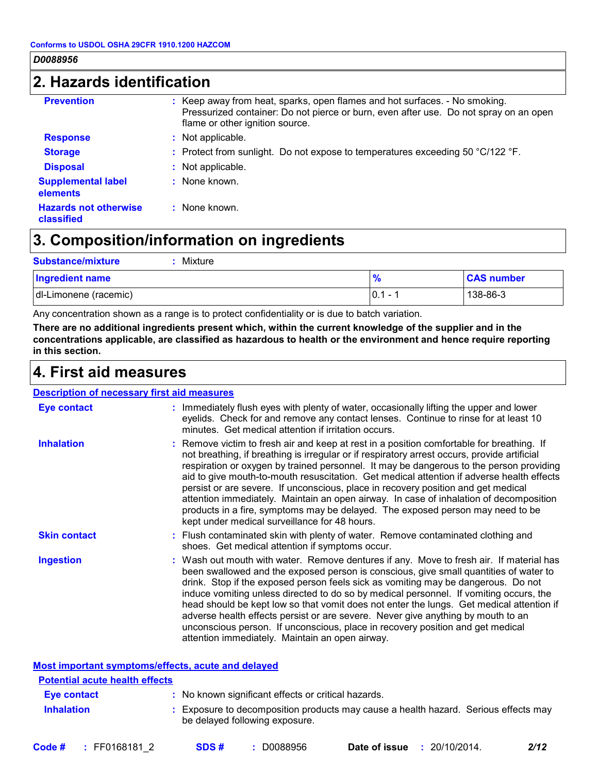# **2. Hazards identification**

| <b>Prevention</b>                          | : Keep away from heat, sparks, open flames and hot surfaces. - No smoking.<br>Pressurized container: Do not pierce or burn, even after use. Do not spray on an open<br>flame or other ignition source. |
|--------------------------------------------|--------------------------------------------------------------------------------------------------------------------------------------------------------------------------------------------------------|
| <b>Response</b>                            | : Not applicable.                                                                                                                                                                                      |
| <b>Storage</b>                             | : Protect from sunlight. Do not expose to temperatures exceeding 50 $^{\circ}$ C/122 $^{\circ}$ F.                                                                                                     |
| <b>Disposal</b>                            | : Not applicable.                                                                                                                                                                                      |
| <b>Supplemental label</b><br>elements      | : None known.                                                                                                                                                                                          |
| <b>Hazards not otherwise</b><br>classified | $\therefore$ None known.                                                                                                                                                                               |

# **3. Composition/information on ingredients**

| <b>Substance/mixture</b><br>Mixture |            |                   |
|-------------------------------------|------------|-------------------|
| <b>Ingredient name</b>              | %          | <b>CAS number</b> |
| dl-Limonene (racemic)               | $ 0.1 - 1$ | $138 - 86 - 3$    |

Any concentration shown as a range is to protect confidentiality or is due to batch variation.

**There are no additional ingredients present which, within the current knowledge of the supplier and in the concentrations applicable, are classified as hazardous to health or the environment and hence require reporting in this section.**

### **4. First aid measures**

| <b>Description of necessary first aid measures</b> |                                                                                                                                                                                                                                                                                                                                                                                                                                                                                                                                                                                                                                                                                                     |
|----------------------------------------------------|-----------------------------------------------------------------------------------------------------------------------------------------------------------------------------------------------------------------------------------------------------------------------------------------------------------------------------------------------------------------------------------------------------------------------------------------------------------------------------------------------------------------------------------------------------------------------------------------------------------------------------------------------------------------------------------------------------|
| <b>Eye contact</b>                                 | : Immediately flush eyes with plenty of water, occasionally lifting the upper and lower<br>eyelids. Check for and remove any contact lenses. Continue to rinse for at least 10<br>minutes. Get medical attention if irritation occurs.                                                                                                                                                                                                                                                                                                                                                                                                                                                              |
| <b>Inhalation</b>                                  | : Remove victim to fresh air and keep at rest in a position comfortable for breathing. If<br>not breathing, if breathing is irregular or if respiratory arrest occurs, provide artificial<br>respiration or oxygen by trained personnel. It may be dangerous to the person providing<br>aid to give mouth-to-mouth resuscitation. Get medical attention if adverse health effects<br>persist or are severe. If unconscious, place in recovery position and get medical<br>attention immediately. Maintain an open airway. In case of inhalation of decomposition<br>products in a fire, symptoms may be delayed. The exposed person may need to be<br>kept under medical surveillance for 48 hours. |
| <b>Skin contact</b>                                | : Flush contaminated skin with plenty of water. Remove contaminated clothing and<br>shoes. Get medical attention if symptoms occur.                                                                                                                                                                                                                                                                                                                                                                                                                                                                                                                                                                 |
| <b>Ingestion</b>                                   | : Wash out mouth with water. Remove dentures if any. Move to fresh air. If material has<br>been swallowed and the exposed person is conscious, give small quantities of water to<br>drink. Stop if the exposed person feels sick as vomiting may be dangerous. Do not<br>induce vomiting unless directed to do so by medical personnel. If vomiting occurs, the<br>head should be kept low so that vomit does not enter the lungs. Get medical attention if<br>adverse health effects persist or are severe. Never give anything by mouth to an<br>unconscious person. If unconscious, place in recovery position and get medical<br>attention immediately. Maintain an open airway.                |

|                                       | Most important symptoms/effects, acute and delayed                                                                    |
|---------------------------------------|-----------------------------------------------------------------------------------------------------------------------|
| <b>Potential acute health effects</b> |                                                                                                                       |
| <b>Eye contact</b>                    | : No known significant effects or critical hazards.                                                                   |
| <b>Inhalation</b>                     | : Exposure to decomposition products may cause a health hazard. Serious effects may<br>be delayed following exposure. |

| 20/10/2014.<br>D0088956<br>Code #<br>: FF0168181 2<br>Date of issue<br>SDS# | 2/12 |
|-----------------------------------------------------------------------------|------|
|-----------------------------------------------------------------------------|------|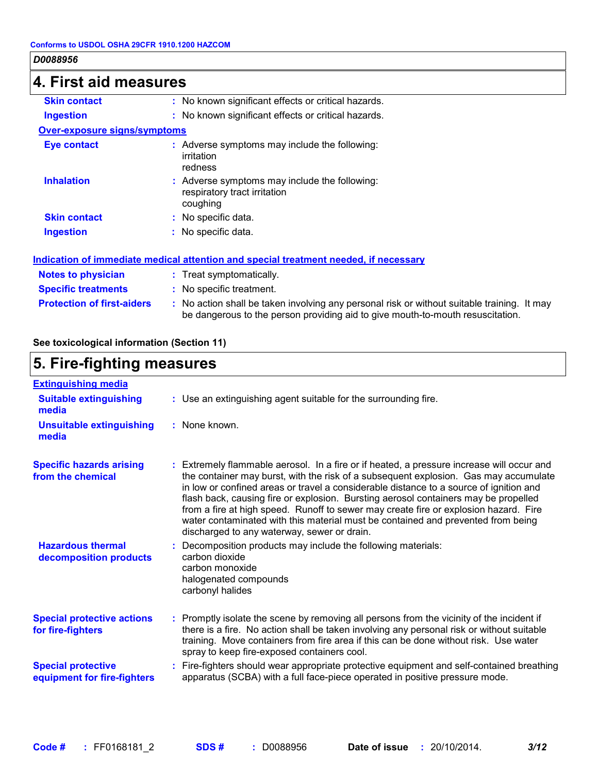| $ 4$ . First aid measures         |                                                                                                                                                                               |  |  |
|-----------------------------------|-------------------------------------------------------------------------------------------------------------------------------------------------------------------------------|--|--|
| <b>Skin contact</b>               | : No known significant effects or critical hazards.                                                                                                                           |  |  |
| <b>Ingestion</b>                  | : No known significant effects or critical hazards.                                                                                                                           |  |  |
| Over-exposure signs/symptoms      |                                                                                                                                                                               |  |  |
| Eye contact                       | : Adverse symptoms may include the following:<br>irritation<br>redness                                                                                                        |  |  |
| <b>Inhalation</b>                 | : Adverse symptoms may include the following:<br>respiratory tract irritation<br>coughing                                                                                     |  |  |
| <b>Skin contact</b>               | : No specific data.                                                                                                                                                           |  |  |
| <b>Ingestion</b>                  | : No specific data.                                                                                                                                                           |  |  |
|                                   | Indication of immediate medical attention and special treatment needed, if necessary                                                                                          |  |  |
| <b>Notes to physician</b>         | : Treat symptomatically.                                                                                                                                                      |  |  |
| <b>Specific treatments</b>        | : No specific treatment.                                                                                                                                                      |  |  |
| <b>Protection of first-aiders</b> | : No action shall be taken involving any personal risk or without suitable training. It may<br>be dangerous to the person providing aid to give mouth-to-mouth resuscitation. |  |  |

### **See toxicological information (Section 11)**

#### **5. Fire-fighting measures :** Promptly isolate the scene by removing all persons from the vicinity of the incident if there is a fire. No action shall be taken involving any personal risk or without suitable training. Move containers from fire area if this can be done without risk. Use water spray to keep fire-exposed containers cool. **Hazardous thermal decomposition products Specific hazards arising from the chemical** Decomposition products may include the following materials: **:** carbon dioxide carbon monoxide halogenated compounds carbonyl halides Extremely flammable aerosol. In a fire or if heated, a pressure increase will occur and **:** the container may burst, with the risk of a subsequent explosion. Gas may accumulate in low or confined areas or travel a considerable distance to a source of ignition and flash back, causing fire or explosion. Bursting aerosol containers may be propelled from a fire at high speed. Runoff to sewer may create fire or explosion hazard. Fire water contaminated with this material must be contained and prevented from being discharged to any waterway, sewer or drain. Fire-fighters should wear appropriate protective equipment and self-contained breathing **:** apparatus (SCBA) with a full face-piece operated in positive pressure mode. **Special protective equipment for fire-fighters** Use an extinguishing agent suitable for the surrounding fire. **: Extinguishing media :** None known. **Suitable extinguishing media Unsuitable extinguishing media Special protective actions for fire-fighters**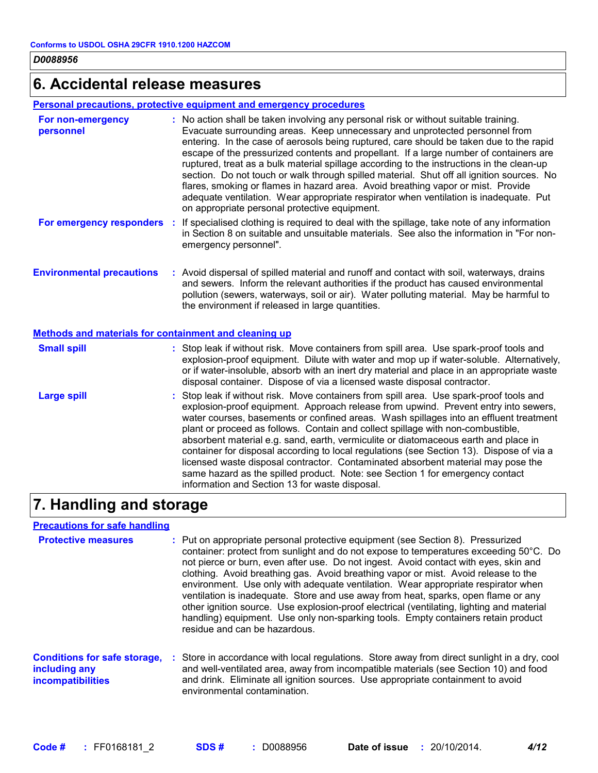# **6. Accidental release measures**

### **Personal precautions, protective equipment and emergency procedures**

| For non-emergency<br>personnel                        | : No action shall be taken involving any personal risk or without suitable training.<br>Evacuate surrounding areas. Keep unnecessary and unprotected personnel from<br>entering. In the case of aerosols being ruptured, care should be taken due to the rapid<br>escape of the pressurized contents and propellant. If a large number of containers are<br>ruptured, treat as a bulk material spillage according to the instructions in the clean-up<br>section. Do not touch or walk through spilled material. Shut off all ignition sources. No<br>flares, smoking or flames in hazard area. Avoid breathing vapor or mist. Provide<br>adequate ventilation. Wear appropriate respirator when ventilation is inadequate. Put<br>on appropriate personal protective equipment. |
|-------------------------------------------------------|----------------------------------------------------------------------------------------------------------------------------------------------------------------------------------------------------------------------------------------------------------------------------------------------------------------------------------------------------------------------------------------------------------------------------------------------------------------------------------------------------------------------------------------------------------------------------------------------------------------------------------------------------------------------------------------------------------------------------------------------------------------------------------|
| For emergency responders                              | : If specialised clothing is required to deal with the spillage, take note of any information<br>in Section 8 on suitable and unsuitable materials. See also the information in "For non-<br>emergency personnel".                                                                                                                                                                                                                                                                                                                                                                                                                                                                                                                                                               |
| <b>Environmental precautions</b>                      | : Avoid dispersal of spilled material and runoff and contact with soil, waterways, drains<br>and sewers. Inform the relevant authorities if the product has caused environmental<br>pollution (sewers, waterways, soil or air). Water polluting material. May be harmful to<br>the environment if released in large quantities.                                                                                                                                                                                                                                                                                                                                                                                                                                                  |
| Methods and materials for containment and cleaning up |                                                                                                                                                                                                                                                                                                                                                                                                                                                                                                                                                                                                                                                                                                                                                                                  |
| <b>Small spill</b>                                    | : Stop leak if without risk. Move containers from spill area. Use spark-proof tools and<br>explosion-proof equipment. Dilute with water and mop up if water-soluble. Alternatively,<br>or if water-insoluble, absorb with an inert dry material and place in an appropriate waste<br>disposal container. Dispose of via a licensed waste disposal contractor.                                                                                                                                                                                                                                                                                                                                                                                                                    |
| <b>Large spill</b>                                    | : Stop leak if without risk. Move containers from spill area. Use spark-proof tools and<br>explosion-proof equipment. Approach release from upwind. Prevent entry into sewers,<br>water courses, basements or confined areas. Wash spillages into an effluent treatment<br>plant or proceed as follows. Contain and collect spillage with non-combustible,<br>absorbent material e.g. sand, earth, vermiculite or diatomaceous earth and place in<br>container for disposal according to local regulations (see Section 13). Dispose of via a<br>licensed waste disposal contractor. Contaminated absorbent material may pose the<br>same hazard as the spilled product. Note: see Section 1 for emergency contact<br>information and Section 13 for waste disposal.             |

# **7. Handling and storage**

### **Precautions for safe handling**

| <b>Protective measures</b>                                                       | : Put on appropriate personal protective equipment (see Section 8). Pressurized<br>container: protect from sunlight and do not expose to temperatures exceeding 50°C. Do<br>not pierce or burn, even after use. Do not ingest. Avoid contact with eyes, skin and<br>clothing. Avoid breathing gas. Avoid breathing vapor or mist. Avoid release to the<br>environment. Use only with adequate ventilation. Wear appropriate respirator when<br>ventilation is inadequate. Store and use away from heat, sparks, open flame or any<br>other ignition source. Use explosion-proof electrical (ventilating, lighting and material<br>handling) equipment. Use only non-sparking tools. Empty containers retain product<br>residue and can be hazardous. |
|----------------------------------------------------------------------------------|------------------------------------------------------------------------------------------------------------------------------------------------------------------------------------------------------------------------------------------------------------------------------------------------------------------------------------------------------------------------------------------------------------------------------------------------------------------------------------------------------------------------------------------------------------------------------------------------------------------------------------------------------------------------------------------------------------------------------------------------------|
| <b>Conditions for safe storage,</b><br>including any<br><b>incompatibilities</b> | : Store in accordance with local regulations. Store away from direct sunlight in a dry, cool<br>and well-ventilated area, away from incompatible materials (see Section 10) and food<br>and drink. Eliminate all ignition sources. Use appropriate containment to avoid<br>environmental contamination.                                                                                                                                                                                                                                                                                                                                                                                                                                              |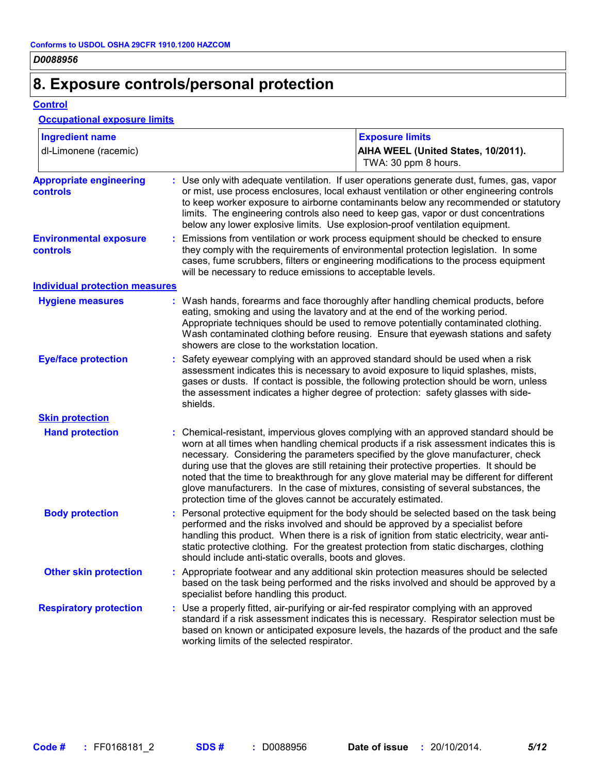# **8. Exposure controls/personal protection**

**Control**

### **Occupational exposure limits**

| <b>Ingredient name</b>                     | <b>Exposure limits</b>                                                                                                                                                                                                                                                                                                                                                                                                                                                                                                                                                                                                 |  |
|--------------------------------------------|------------------------------------------------------------------------------------------------------------------------------------------------------------------------------------------------------------------------------------------------------------------------------------------------------------------------------------------------------------------------------------------------------------------------------------------------------------------------------------------------------------------------------------------------------------------------------------------------------------------------|--|
| dl-Limonene (racemic)                      | AIHA WEEL (United States, 10/2011).<br>TWA: 30 ppm 8 hours.                                                                                                                                                                                                                                                                                                                                                                                                                                                                                                                                                            |  |
| <b>Appropriate engineering</b><br>controls | : Use only with adequate ventilation. If user operations generate dust, fumes, gas, vapor<br>or mist, use process enclosures, local exhaust ventilation or other engineering controls<br>to keep worker exposure to airborne contaminants below any recommended or statutory<br>limits. The engineering controls also need to keep gas, vapor or dust concentrations<br>below any lower explosive limits. Use explosion-proof ventilation equipment.                                                                                                                                                                   |  |
| <b>Environmental exposure</b><br>controls  | Emissions from ventilation or work process equipment should be checked to ensure<br>they comply with the requirements of environmental protection legislation. In some<br>cases, fume scrubbers, filters or engineering modifications to the process equipment<br>will be necessary to reduce emissions to acceptable levels.                                                                                                                                                                                                                                                                                          |  |
| <b>Individual protection measures</b>      |                                                                                                                                                                                                                                                                                                                                                                                                                                                                                                                                                                                                                        |  |
| <b>Hygiene measures</b>                    | : Wash hands, forearms and face thoroughly after handling chemical products, before<br>eating, smoking and using the lavatory and at the end of the working period.<br>Appropriate techniques should be used to remove potentially contaminated clothing.<br>Wash contaminated clothing before reusing. Ensure that eyewash stations and safety<br>showers are close to the workstation location.                                                                                                                                                                                                                      |  |
| <b>Eye/face protection</b>                 | : Safety eyewear complying with an approved standard should be used when a risk<br>assessment indicates this is necessary to avoid exposure to liquid splashes, mists,<br>gases or dusts. If contact is possible, the following protection should be worn, unless<br>the assessment indicates a higher degree of protection: safety glasses with side-<br>shields.                                                                                                                                                                                                                                                     |  |
| <b>Skin protection</b>                     |                                                                                                                                                                                                                                                                                                                                                                                                                                                                                                                                                                                                                        |  |
| <b>Hand protection</b>                     | : Chemical-resistant, impervious gloves complying with an approved standard should be<br>worn at all times when handling chemical products if a risk assessment indicates this is<br>necessary. Considering the parameters specified by the glove manufacturer, check<br>during use that the gloves are still retaining their protective properties. It should be<br>noted that the time to breakthrough for any glove material may be different for different<br>glove manufacturers. In the case of mixtures, consisting of several substances, the<br>protection time of the gloves cannot be accurately estimated. |  |
| <b>Body protection</b>                     | : Personal protective equipment for the body should be selected based on the task being<br>performed and the risks involved and should be approved by a specialist before<br>handling this product. When there is a risk of ignition from static electricity, wear anti-<br>static protective clothing. For the greatest protection from static discharges, clothing<br>should include anti-static overalls, boots and gloves.                                                                                                                                                                                         |  |
| <b>Other skin protection</b>               | : Appropriate footwear and any additional skin protection measures should be selected<br>based on the task being performed and the risks involved and should be approved by a<br>specialist before handling this product.                                                                                                                                                                                                                                                                                                                                                                                              |  |
| <b>Respiratory protection</b>              | : Use a properly fitted, air-purifying or air-fed respirator complying with an approved<br>standard if a risk assessment indicates this is necessary. Respirator selection must be<br>based on known or anticipated exposure levels, the hazards of the product and the safe<br>working limits of the selected respirator.                                                                                                                                                                                                                                                                                             |  |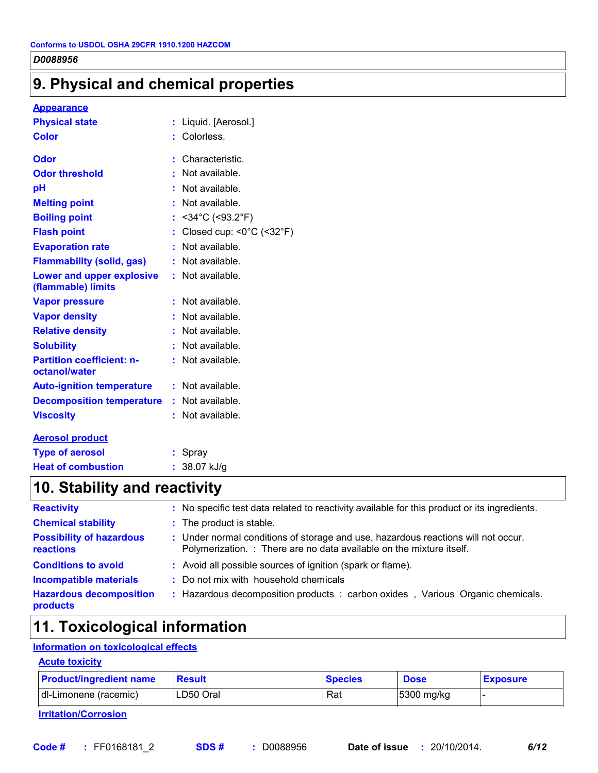# **9. Physical and chemical properties**

#### **Appearance**

| <b>Physical state</b>                             | Liquid. [Aerosol.]<br>t                       |
|---------------------------------------------------|-----------------------------------------------|
| <b>Color</b>                                      | Colorless.                                    |
| Odor                                              | Characteristic.<br>t                          |
| <b>Odor threshold</b>                             | Not available.                                |
| pH                                                | Not available.                                |
| <b>Melting point</b>                              | Not available.                                |
| <b>Boiling point</b>                              | $<$ 34°C (<93.2°F)<br>t                       |
| <b>Flash point</b>                                | Closed cup: $<0^{\circ}$ C ( $<32^{\circ}$ F) |
| <b>Evaporation rate</b>                           | Not available.                                |
| <b>Flammability (solid, gas)</b>                  | Not available.                                |
| Lower and upper explosive<br>(flammable) limits   | Not available.<br>t.                          |
| <b>Vapor pressure</b>                             | Not available.<br>t                           |
| <b>Vapor density</b>                              | Not available.                                |
| <b>Relative density</b>                           | Not available.                                |
| <b>Solubility</b>                                 | Not available.<br>t                           |
| <b>Partition coefficient: n-</b><br>octanol/water | Not available.                                |
| <b>Auto-ignition temperature</b>                  | Not available.<br>t.                          |
| <b>Decomposition temperature</b>                  | Not available.<br>t.                          |
| <b>Viscosity</b>                                  | Not available.                                |
| <b>Aerosol product</b>                            |                                               |
| <b>Type of aerosol</b>                            | Spray                                         |

# **Heat of combustion :** 38.07 kJ/g **10. Stability and reactivity**

| : No specific test data related to reactivity available for this product or its ingredients.                                                              |
|-----------------------------------------------------------------------------------------------------------------------------------------------------------|
| : The product is stable.                                                                                                                                  |
| : Under normal conditions of storage and use, hazardous reactions will not occur.<br>Polymerization. : There are no data available on the mixture itself. |
| : Avoid all possible sources of ignition (spark or flame).                                                                                                |
| : Do not mix with household chemicals                                                                                                                     |
| : Hazardous decomposition products : carbon oxides, Various Organic chemicals.                                                                            |
|                                                                                                                                                           |

# **11. Toxicological information**

### **Information on toxicological effects**

| <b>Acute toxicity</b>          |  |
|--------------------------------|--|
| <b>Product/ingredient name</b> |  |

| <b>Product/ingredient name</b> | <b>Result</b> | <b>Species</b> | <b>Dose</b> | <b>Exposure</b> |
|--------------------------------|---------------|----------------|-------------|-----------------|
| dl-Limonene (racemic)          | LD50 Oral     | Rat            | 5300 mg/kg  |                 |

**Irritation/Corrosion**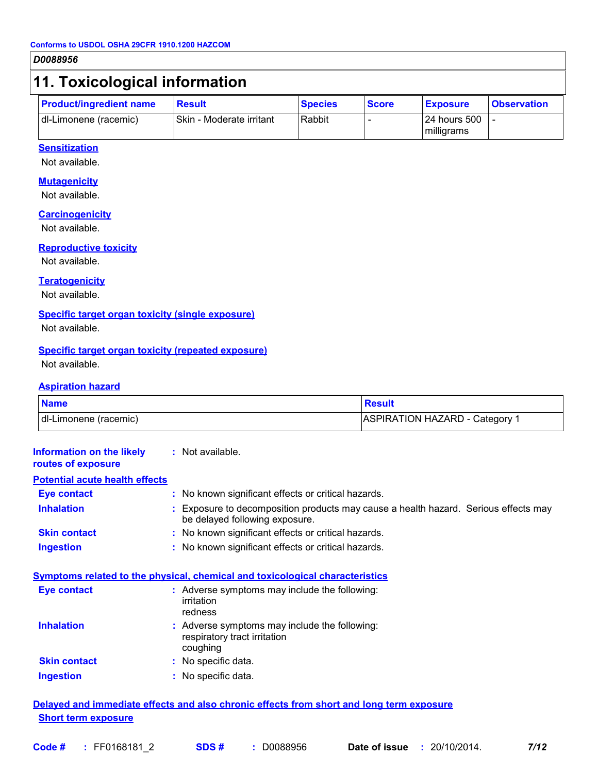# **11. Toxicological information**

| <b>Product/ingredient name</b> | <b>Result</b>                   | <b>Species</b> | <b>Score</b> | <b>Exposure</b>              | <b>Observation</b> |
|--------------------------------|---------------------------------|----------------|--------------|------------------------------|--------------------|
| dl-Limonene (racemic)          | <b>Skin - Moderate irritant</b> | Rabbit         |              | l 24 hours 500<br>milligrams |                    |

### **Sensitization**

Not available.

#### **Mutagenicity**

Not available.

#### **Carcinogenicity**

Not available.

#### **Reproductive toxicity**

Not available.

#### **Teratogenicity**

Not available.

#### **Specific target organ toxicity (single exposure)**

Not available.

#### **Specific target organ toxicity (repeated exposure)**

Not available.

#### **Aspiration hazard**

| <b>Name</b>           | <b>Resuli</b>                  |
|-----------------------|--------------------------------|
| dl-Limonene (racemic) | ASPIRATION HAZARD - Category 1 |

| <b>Information on the likely</b> |  |
|----------------------------------|--|
| routes of exposure               |  |

**:** Not available.

**Inhalation 19.1 Exposure to decomposition products may cause a health hazard. Serious effects may** be delayed following exposure. **Ingestion :** No known significant effects or critical hazards. **Skin contact :** No known significant effects or critical hazards. **Eye contact :** No known significant effects or critical hazards. **Potential acute health effects**

#### **Symptoms related to the physical, chemical and toxicological characteristics**

| <b>Eye contact</b>  | : Adverse symptoms may include the following:<br>irritation<br>redness                    |
|---------------------|-------------------------------------------------------------------------------------------|
| <b>Inhalation</b>   | : Adverse symptoms may include the following:<br>respiratory tract irritation<br>coughing |
| <b>Skin contact</b> | : No specific data.                                                                       |
| <b>Ingestion</b>    | : No specific data.                                                                       |

### **Delayed and immediate effects and also chronic effects from short and long term exposure Short term exposure**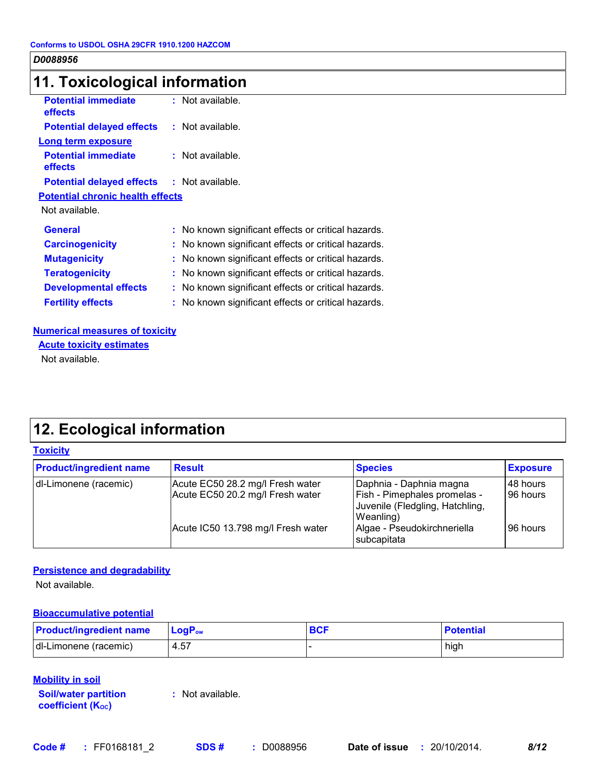# **11. Toxicological information**

| <b>Potential immediate</b><br>effects             | $:$ Not available.                                  |
|---------------------------------------------------|-----------------------------------------------------|
| <b>Potential delayed effects</b>                  | $:$ Not available.                                  |
| <b>Long term exposure</b>                         |                                                     |
| <b>Potential immediate</b><br><b>effects</b>      | $:$ Not available.                                  |
| <b>Potential delayed effects : Not available.</b> |                                                     |
| <b>Potential chronic health effects</b>           |                                                     |
| Not available.                                    |                                                     |
| <b>General</b>                                    | : No known significant effects or critical hazards. |
| <b>Carcinogenicity</b>                            | : No known significant effects or critical hazards. |
| <b>Mutagenicity</b>                               | : No known significant effects or critical hazards. |
| <b>Teratogenicity</b>                             | : No known significant effects or critical hazards. |
| <b>Developmental effects</b>                      | : No known significant effects or critical hazards. |
| <b>Fertility effects</b>                          | : No known significant effects or critical hazards. |
|                                                   |                                                     |

### **Numerical measures of toxicity**

Not available. **Acute toxicity estimates**

# **12. Ecological information**

### **Toxicity**

| <b>Product/ingredient name</b> | <b>Result</b>                                                        | <b>Species</b>                                                                                          | <b>Exposure</b>      |
|--------------------------------|----------------------------------------------------------------------|---------------------------------------------------------------------------------------------------------|----------------------|
| dl-Limonene (racemic)          | Acute EC50 28.2 mg/l Fresh water<br>Acute EC50 20.2 mg/l Fresh water | Daphnia - Daphnia magna<br>Fish - Pimephales promelas -<br>Juvenile (Fledgling, Hatchling,<br>Weanling) | 48 hours<br>96 hours |
|                                | Acute IC50 13.798 mg/l Fresh water                                   | Algae - Pseudokirchneriella<br>subcapitata                                                              | 96 hours             |

### **Persistence and degradability**

Not available.

### **Bioaccumulative potential**

| <b>Product/ingredient name</b> | $\mathsf{LogP}_\mathsf{ow}$ | <b>BCF</b> | <b>Potential</b> |
|--------------------------------|-----------------------------|------------|------------------|
| dl-Limonene (racemic)          | 4.57                        |            | high             |

### **Mobility in soil**

**Soil/water partition coefficient (KOC) :** Not available.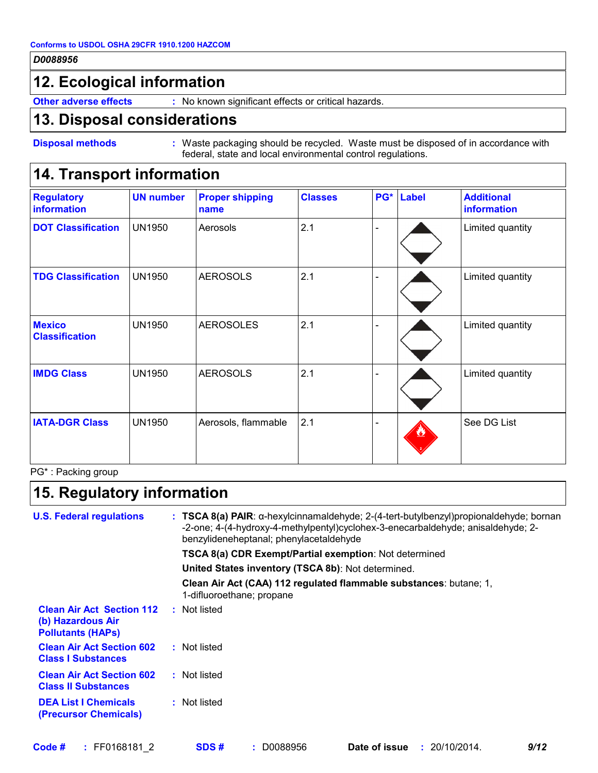# **12. Ecological information**

**Other adverse effects** : No known significant effects or critical hazards.

## **13. Disposal considerations**

```
Disposal methods :
```
Waste packaging should be recycled. Waste must be disposed of in accordance with federal, state and local environmental control regulations.

# **14. Transport information**

| <b>Regulatory</b><br>information       | <b>UN number</b> | <b>Proper shipping</b><br>name | <b>Classes</b> | PG* | <b>Label</b> | <b>Additional</b><br>information |
|----------------------------------------|------------------|--------------------------------|----------------|-----|--------------|----------------------------------|
| <b>DOT Classification</b>              | <b>UN1950</b>    | Aerosols                       | 2.1            |     |              | Limited quantity                 |
| <b>TDG Classification</b>              | <b>UN1950</b>    | <b>AEROSOLS</b>                | 2.1            |     |              | Limited quantity                 |
| <b>Mexico</b><br><b>Classification</b> | <b>UN1950</b>    | <b>AEROSOLES</b>               | 2.1            |     |              | Limited quantity                 |
| <b>IMDG Class</b>                      | <b>UN1950</b>    | <b>AEROSOLS</b>                | 2.1            |     |              | Limited quantity                 |
| <b>IATA-DGR Class</b>                  | <b>UN1950</b>    | Aerosols, flammable            | 2.1            |     |              | See DG List                      |

PG\* : Packing group

# **15. Regulatory information**

| <b>U.S. Federal regulations</b>                                                   |  | : TSCA 8(a) PAIR: α-hexylcinnamaldehyde; $2-(4$ -tert-butylbenzyl)propionaldehyde; bornan<br>-2-one; 4-(4-hydroxy-4-methylpentyl)cyclohex-3-enecarbaldehyde; anisaldehyde; 2-<br>benzylideneheptanal; phenylacetaldehyde |
|-----------------------------------------------------------------------------------|--|--------------------------------------------------------------------------------------------------------------------------------------------------------------------------------------------------------------------------|
|                                                                                   |  | <b>TSCA 8(a) CDR Exempt/Partial exemption:</b> Not determined                                                                                                                                                            |
|                                                                                   |  | United States inventory (TSCA 8b): Not determined.                                                                                                                                                                       |
|                                                                                   |  | Clean Air Act (CAA) 112 regulated flammable substances: butane; 1,<br>1-difluoroethane; propane                                                                                                                          |
| <b>Clean Air Act Section 112</b><br>(b) Hazardous Air<br><b>Pollutants (HAPS)</b> |  | : Not listed                                                                                                                                                                                                             |
| <b>Clean Air Act Section 602</b><br><b>Class I Substances</b>                     |  | : Not listed                                                                                                                                                                                                             |
| <b>Clean Air Act Section 602</b><br><b>Class II Substances</b>                    |  | : Not listed                                                                                                                                                                                                             |
| <b>DEA List I Chemicals</b><br>(Precursor Chemicals)                              |  | : Not listed                                                                                                                                                                                                             |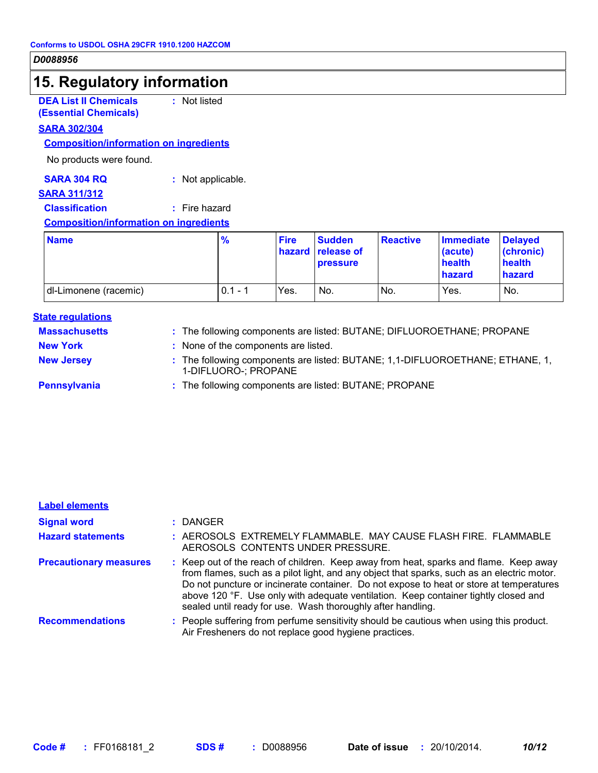# **15. Regulatory information**

**DEA List II Chemicals (Essential Chemicals)** **:** Not listed

### **SARA 302/304**

### **Composition/information on ingredients**

No products were found.

### **SARA 304 RQ :** Not applicable.

### **SARA 311/312**

# **Classification :** Fire hazard

### **Composition/information on ingredients**

| <b>Name</b>           | $\frac{9}{6}$ | <b>Fire</b> | <b>Sudden</b><br><b>hazard</b> release of<br><b>pressure</b> | <b>Reactive</b> | <b>Immediate</b><br>(acute)<br>health<br>hazard | <b>Delaved</b><br>(chronic)<br>health<br>hazard |
|-----------------------|---------------|-------------|--------------------------------------------------------------|-----------------|-------------------------------------------------|-------------------------------------------------|
| dl-Limonene (racemic) | $0.1 - 1$     | Yes.        | No.                                                          | No.             | Yes.                                            | No.                                             |

#### **State regulations**

| <b>Massachusetts</b> | : The following components are listed: BUTANE; DIFLUOROETHANE; PROPANE                                |
|----------------------|-------------------------------------------------------------------------------------------------------|
| <b>New York</b>      | : None of the components are listed.                                                                  |
| <b>New Jersey</b>    | : The following components are listed: BUTANE; 1,1-DIFLUOROETHANE; ETHANE, 1,<br>1-DIFLUORO-; PROPANE |
| Pennsylvania         | : The following components are listed: BUTANE; PROPANE                                                |

| <b>Label elements</b>         |                                                                                                                                                                                                                                                                                                                                                                                                                                      |
|-------------------------------|--------------------------------------------------------------------------------------------------------------------------------------------------------------------------------------------------------------------------------------------------------------------------------------------------------------------------------------------------------------------------------------------------------------------------------------|
| <b>Signal word</b>            | : DANGER                                                                                                                                                                                                                                                                                                                                                                                                                             |
| <b>Hazard statements</b>      | : AEROSOLS EXTREMELY FLAMMABLE. MAY CAUSE FLASH FIRE. FLAMMABLE<br>AEROSOLS CONTENTS UNDER PRESSURE.                                                                                                                                                                                                                                                                                                                                 |
| <b>Precautionary measures</b> | : Keep out of the reach of children. Keep away from heat, sparks and flame. Keep away<br>from flames, such as a pilot light, and any object that sparks, such as an electric motor.<br>Do not puncture or incinerate container. Do not expose to heat or store at temperatures<br>above 120 °F. Use only with adequate ventilation. Keep container tightly closed and<br>sealed until ready for use. Wash thoroughly after handling. |
| <b>Recommendations</b>        | : People suffering from perfume sensitivity should be cautious when using this product.<br>Air Fresheners do not replace good hygiene practices.                                                                                                                                                                                                                                                                                     |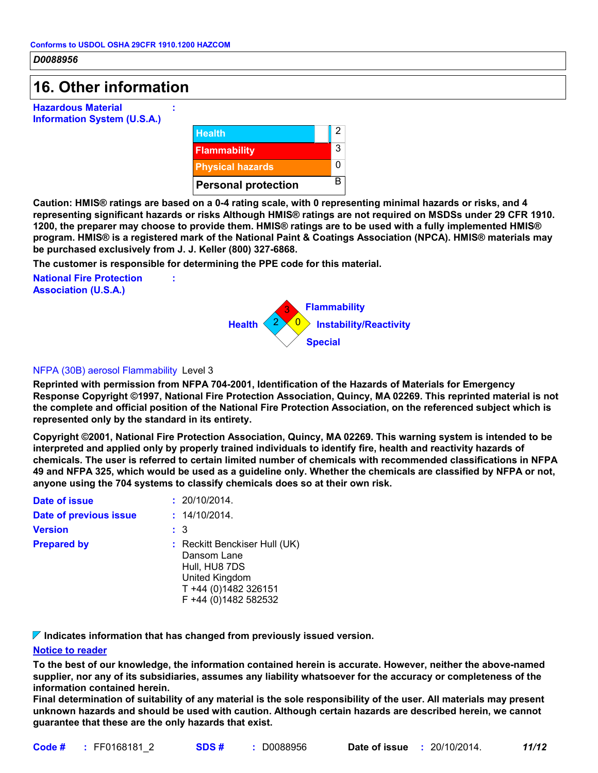# **16. Other information**

**Hazardous Material Information System (U.S.A.)**



**Caution: HMIS® ratings are based on a 0-4 rating scale, with 0 representing minimal hazards or risks, and 4 representing significant hazards or risks Although HMIS® ratings are not required on MSDSs under 29 CFR 1910. 1200, the preparer may choose to provide them. HMIS® ratings are to be used with a fully implemented HMIS® program. HMIS® is a registered mark of the National Paint & Coatings Association (NPCA). HMIS® materials may be purchased exclusively from J. J. Keller (800) 327-6868.**

**The customer is responsible for determining the PPE code for this material.**

**:**

**:**

**National Fire Protection Association (U.S.A.)**



### NFPA (30B) aerosol Flammability Level 3

**Reprinted with permission from NFPA 704-2001, Identification of the Hazards of Materials for Emergency Response Copyright ©1997, National Fire Protection Association, Quincy, MA 02269. This reprinted material is not the complete and official position of the National Fire Protection Association, on the referenced subject which is represented only by the standard in its entirety.**

**Copyright ©2001, National Fire Protection Association, Quincy, MA 02269. This warning system is intended to be interpreted and applied only by properly trained individuals to identify fire, health and reactivity hazards of chemicals. The user is referred to certain limited number of chemicals with recommended classifications in NFPA 49 and NFPA 325, which would be used as a guideline only. Whether the chemicals are classified by NFPA or not, anyone using the 704 systems to classify chemicals does so at their own risk.**

| Date of issue          | : 20/10/2014.                                                                                                                          |
|------------------------|----------------------------------------------------------------------------------------------------------------------------------------|
| Date of previous issue | : 14/10/2014.                                                                                                                          |
| <b>Version</b>         | :3                                                                                                                                     |
| <b>Prepared by</b>     | : Reckitt Benckiser Hull (UK)<br>Dansom Lane<br>Hull, HU8 7DS<br><b>United Kingdom</b><br>T +44 (0)1482 326151<br>F +44 (0)1482 582532 |

**Indicates information that has changed from previously issued version.**

### **Notice to reader**

**To the best of our knowledge, the information contained herein is accurate. However, neither the above-named supplier, nor any of its subsidiaries, assumes any liability whatsoever for the accuracy or completeness of the information contained herein.**

**Final determination of suitability of any material is the sole responsibility of the user. All materials may present unknown hazards and should be used with caution. Although certain hazards are described herein, we cannot guarantee that these are the only hazards that exist.**